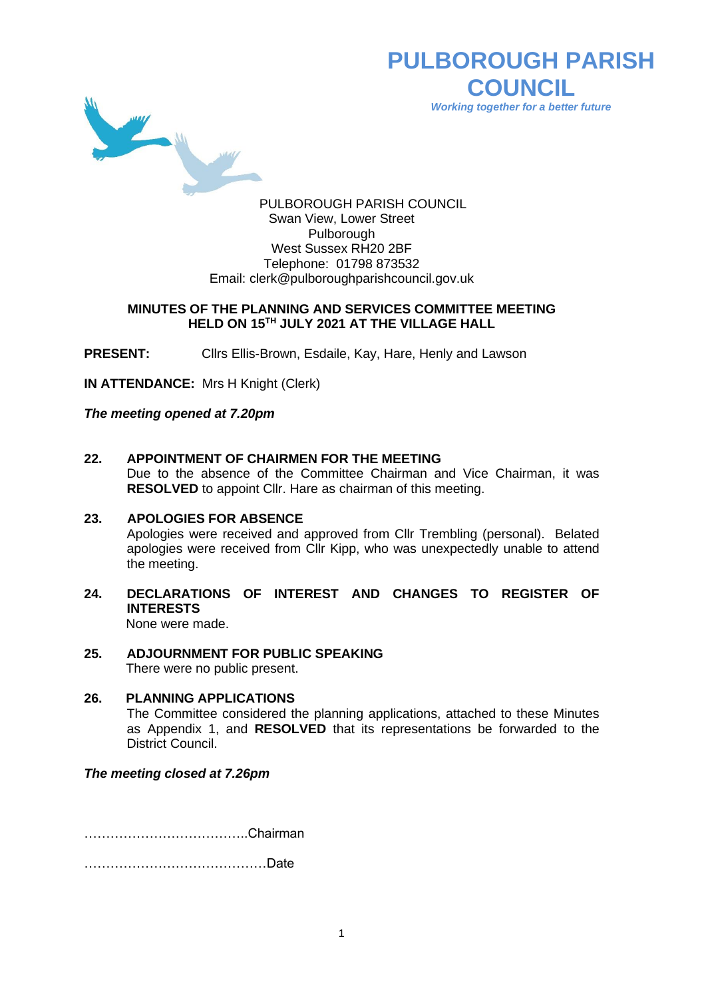

# **PULBOROUGH PARISH COUNCIL** *Working together for a better future*

PULBOROUGH PARISH COUNCIL Swan View, Lower Street Pulborough West Sussex RH20 2BF Telephone: 01798 873532 Email: [clerk@pulboroughparishcouncil.gov.uk](mailto:clerk@pulboroughparishcouncil.gov.uk)

### **MINUTES OF THE PLANNING AND SERVICES COMMITTEE MEETING HELD ON 15TH JULY 2021 AT THE VILLAGE HALL**

**PRESENT:** Clirs Ellis-Brown, Esdaile, Kay, Hare, Henly and Lawson

**IN ATTENDANCE:** Mrs H Knight (Clerk)

*The meeting opened at 7.20pm*

### **22. APPOINTMENT OF CHAIRMEN FOR THE MEETING**

Due to the absence of the Committee Chairman and Vice Chairman, it was **RESOLVED** to appoint Cllr. Hare as chairman of this meeting.

#### **23. APOLOGIES FOR ABSENCE**

Apologies were received and approved from Cllr Trembling (personal). Belated apologies were received from Cllr Kipp, who was unexpectedly unable to attend the meeting.

## **24. DECLARATIONS OF INTEREST AND CHANGES TO REGISTER OF INTERESTS**

None were made.

**25. ADJOURNMENT FOR PUBLIC SPEAKING** There were no public present.

### **26. PLANNING APPLICATIONS** The Committee considered the planning applications, attached to these Minutes as Appendix 1, and **RESOLVED** that its representations be forwarded to the District Council.

### *The meeting closed at 7.26pm*

………………………………..Chairman

……………………………………Date